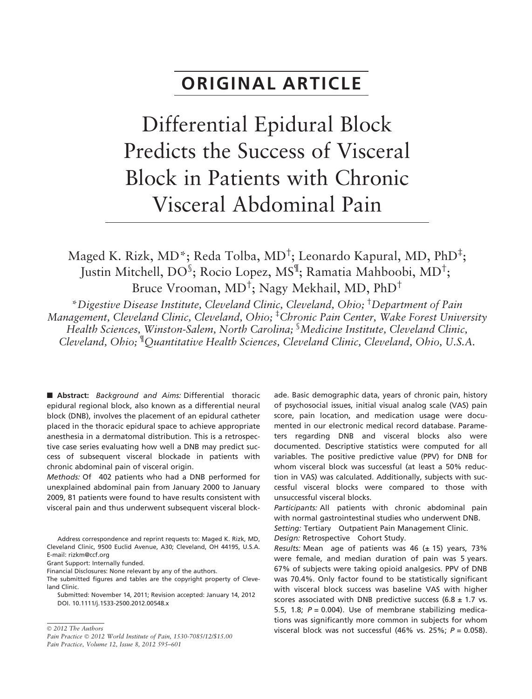# ORIGINAL ARTICLE

Differential Epidural Block Predicts the Success of Visceral Block in Patients with Chronic Visceral Abdominal Pain

Maged K. Rizk, MD\*; Reda Tolba, MD<sup>†</sup>; Leonardo Kapural, MD, PhD<sup>‡</sup>; Justin Mitchell, DO $^{\mathbb{S}}$ ; Rocio Lopez, MS $^{\mathbb{I}}$ ; Ramatia Mahboobi, MD $^{\dagger}$ ; Bruce Vrooman, MD<sup>†</sup>; Nagy Mekhail, MD, PhD<sup>†</sup>

\*Digestive Disease Institute, Cleveland Clinic, Cleveland, Ohio; † Department of Pain Management, Cleveland Clinic, Cleveland, Ohio; <sup>‡</sup>Chronic Pain Center, Wake Forest University Health Sciences, Winston-Salem, North Carolina; § Medicine Institute, Cleveland Clinic, Cleveland, Ohio; <sup>¶</sup>Quantitative Health Sciences, Cleveland Clinic, Cleveland, Ohio, U.S.A.

■ Abstract: Background and Aims: Differential thoracic epidural regional block, also known as a differential neural block (DNB), involves the placement of an epidural catheter placed in the thoracic epidural space to achieve appropriate anesthesia in a dermatomal distribution. This is a retrospective case series evaluating how well a DNB may predict success of subsequent visceral blockade in patients with chronic abdominal pain of visceral origin.

Methods: Of 402 patients who had a DNB performed for unexplained abdominal pain from January 2000 to January 2009, 81 patients were found to have results consistent with visceral pain and thus underwent subsequent visceral block-

- Grant Support: Internally funded.
- Financial Disclosures: None relevant by any of the authors.

The submitted figures and tables are the copyright property of Cleveland Clinic.

Submitted: November 14, 2011; Revision accepted: January 14, 2012 DOI. 10.1111/j.1533-2500.2012.00548.x

© 2012 The Authors

Pain Practice © 2012 World Institute of Pain, 1530-7085/12/\$15.00 Pain Practice, Volume 12, Issue 8, 2012 595–601

ade. Basic demographic data, years of chronic pain, history of psychosocial issues, initial visual analog scale (VAS) pain score, pain location, and medication usage were documented in our electronic medical record database. Parameters regarding DNB and visceral blocks also were documented. Descriptive statistics were computed for all variables. The positive predictive value (PPV) for DNB for whom visceral block was successful (at least a 50% reduction in VAS) was calculated. Additionally, subjects with successful visceral blocks were compared to those with unsuccessful visceral blocks.

Participants: All patients with chronic abdominal pain with normal gastrointestinal studies who underwent DNB.

Setting: Tertiary Outpatient Pain Management Clinic. Design: Retrospective Cohort Study.

Results: Mean age of patients was 46  $(\pm 15)$  years, 73% were female, and median duration of pain was 5 years. 67% of subjects were taking opioid analgesics. PPV of DNB was 70.4%. Only factor found to be statistically significant with visceral block success was baseline VAS with higher scores associated with DNB predictive success (6.8  $\pm$  1.7 vs. 5.5, 1.8;  $P = 0.004$ ). Use of membrane stabilizing medications was significantly more common in subjects for whom visceral block was not successful (46% vs. 25%;  $P = 0.058$ ).

Address correspondence and reprint requests to: Maged K. Rizk, MD, Cleveland Clinic, 9500 Euclid Avenue, A30; Cleveland, OH 44195, U.S.A. E-mail: rizkm@ccf.org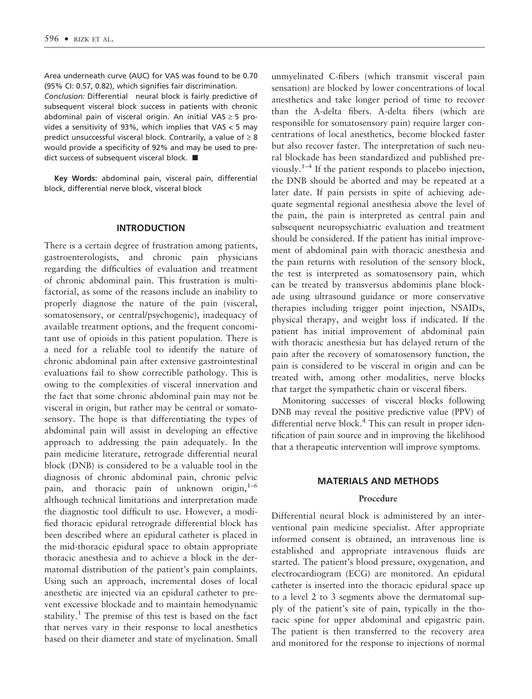Area underneath curve (AUC) for VAS was found to be 0.70 (95% CI: 0.57, 0.82), which signifies fair discrimination. Conclusion: Differential neural block is fairly predictive of subsequent visceral block success in patients with chronic abdominal pain of visceral origin. An initial VAS  $\ge$  5 provides a sensitivity of 93%, which implies that VAS < 5 may predict unsuccessful visceral block. Contrarily, a value of  $\geq 8$ would provide a specificity of 92% and may be used to predict success of subsequent visceral block.  $\blacksquare$ 

Key Words: abdominal pain, visceral pain, differential block, differential nerve block, visceral block

## INTRODUCTION

There is a certain degree of frustration among patients, gastroenterologists, and chronic pain physicians regarding the difficulties of evaluation and treatment of chronic abdominal pain. This frustration is multifactorial, as some of the reasons include an inability to properly diagnose the nature of the pain (visceral, somatosensory, or central/psychogenic), inadequacy of available treatment options, and the frequent concomitant use of opioids in this patient population. There is a need for a reliable tool to identify the nature of chronic abdominal pain after extensive gastrointestinal evaluations fail to show correctible pathology. This is owing to the complexities of visceral innervation and the fact that some chronic abdominal pain may not be visceral in origin, but rather may be central or somatosensory. The hope is that differentiating the types of abdominal pain will assist in developing an effective approach to addressing the pain adequately. In the pain medicine literature, retrograde differential neural block (DNB) is considered to be a valuable tool in the diagnosis of chronic abdominal pain, chronic pelvic pain, and thoracic pain of unknown origin,<sup>1-6</sup> although technical limitations and interpretation made the diagnostic tool difficult to use. However, a modified thoracic epidural retrograde differential block has been described where an epidural catheter is placed in the mid-thoracic epidural space to obtain appropriate thoracic anesthesia and to achieve a block in the dermatomal distribution of the patient's pain complaints. Using such an approach, incremental doses of local anesthetic are injected via an epidural catheter to prevent excessive blockade and to maintain hemodynamic stability.<sup>1</sup> The premise of this test is based on the fact that nerves vary in their response to local anesthetics based on their diameter and state of myelination. Small

unmyelinated C-fibers (which transmit visceral pain sensation) are blocked by lower concentrations of local anesthetics and take longer period of time to recover than the A-delta fibers. A-delta fibers (which are responsible for somatosensory pain) require larger concentrations of local anesthetics, become blocked faster but also recover faster. The interpretation of such neural blockade has been standardized and published previously. $1-4$  If the patient responds to placebo injection, the DNB should be aborted and may be repeated at a later date. If pain persists in spite of achieving adequate segmental regional anesthesia above the level of the pain, the pain is interpreted as central pain and subsequent neuropsychiatric evaluation and treatment should be considered. If the patient has initial improvement of abdominal pain with thoracic anesthesia and the pain returns with resolution of the sensory block, the test is interpreted as somatosensory pain, which can be treated by transversus abdominis plane blockade using ultrasound guidance or more conservative therapies including trigger point injection, NSAIDs, physical therapy, and weight loss if indicated. If the patient has initial improvement of abdominal pain with thoracic anesthesia but has delayed return of the pain after the recovery of somatosensory function, the pain is considered to be visceral in origin and can be treated with, among other modalities, nerve blocks that target the sympathetic chain or visceral fibers.

Monitoring successes of visceral blocks following DNB may reveal the positive predictive value (PPV) of differential nerve block.<sup>4</sup> This can result in proper identification of pain source and in improving the likelihood that a therapeutic intervention will improve symptoms.

# MATERIALS AND METHODS

#### Procedure

Differential neural block is administered by an interventional pain medicine specialist. After appropriate informed consent is obtained, an intravenous line is established and appropriate intravenous fluids are started. The patient's blood pressure, oxygenation, and electrocardiogram (ECG) are monitored. An epidural catheter is inserted into the thoracic epidural space up to a level 2 to 3 segments above the dermatomal supply of the patient's site of pain, typically in the thoracic spine for upper abdominal and epigastric pain. The patient is then transferred to the recovery area and monitored for the response to injections of normal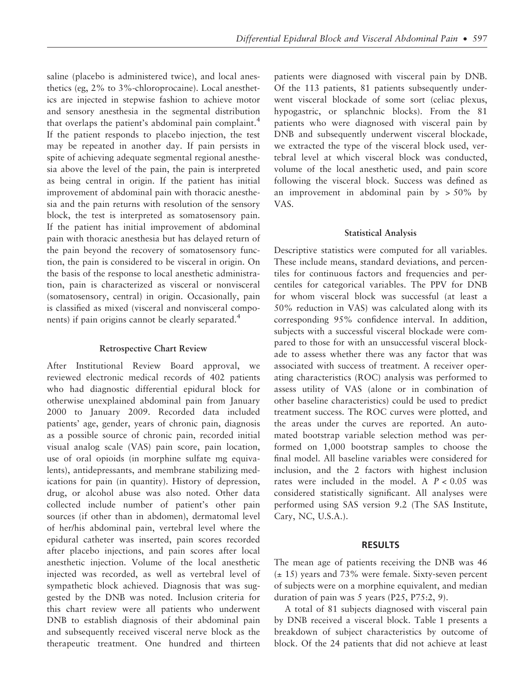saline (placebo is administered twice), and local anesthetics (eg, 2% to 3%-chloroprocaine). Local anesthetics are injected in stepwise fashion to achieve motor and sensory anesthesia in the segmental distribution that overlaps the patient's abdominal pain complaint.<sup>4</sup> If the patient responds to placebo injection, the test may be repeated in another day. If pain persists in spite of achieving adequate segmental regional anesthesia above the level of the pain, the pain is interpreted as being central in origin. If the patient has initial improvement of abdominal pain with thoracic anesthesia and the pain returns with resolution of the sensory block, the test is interpreted as somatosensory pain. If the patient has initial improvement of abdominal pain with thoracic anesthesia but has delayed return of the pain beyond the recovery of somatosensory function, the pain is considered to be visceral in origin. On the basis of the response to local anesthetic administration, pain is characterized as visceral or nonvisceral (somatosensory, central) in origin. Occasionally, pain is classified as mixed (visceral and nonvisceral components) if pain origins cannot be clearly separated.<sup>4</sup>

#### Retrospective Chart Review

After Institutional Review Board approval, we reviewed electronic medical records of 402 patients who had diagnostic differential epidural block for otherwise unexplained abdominal pain from January 2000 to January 2009. Recorded data included patients' age, gender, years of chronic pain, diagnosis as a possible source of chronic pain, recorded initial visual analog scale (VAS) pain score, pain location, use of oral opioids (in morphine sulfate mg equivalents), antidepressants, and membrane stabilizing medications for pain (in quantity). History of depression, drug, or alcohol abuse was also noted. Other data collected include number of patient's other pain sources (if other than in abdomen), dermatomal level of her/his abdominal pain, vertebral level where the epidural catheter was inserted, pain scores recorded after placebo injections, and pain scores after local anesthetic injection. Volume of the local anesthetic injected was recorded, as well as vertebral level of sympathetic block achieved. Diagnosis that was suggested by the DNB was noted. Inclusion criteria for this chart review were all patients who underwent DNB to establish diagnosis of their abdominal pain and subsequently received visceral nerve block as the therapeutic treatment. One hundred and thirteen

patients were diagnosed with visceral pain by DNB. Of the 113 patients, 81 patients subsequently underwent visceral blockade of some sort (celiac plexus, hypogastric, or splanchnic blocks). From the 81 patients who were diagnosed with visceral pain by DNB and subsequently underwent visceral blockade, we extracted the type of the visceral block used, vertebral level at which visceral block was conducted, volume of the local anesthetic used, and pain score following the visceral block. Success was defined as an improvement in abdominal pain by  $> 50\%$  by VAS.

#### Statistical Analysis

Descriptive statistics were computed for all variables. These include means, standard deviations, and percentiles for continuous factors and frequencies and percentiles for categorical variables. The PPV for DNB for whom visceral block was successful (at least a 50% reduction in VAS) was calculated along with its corresponding 95% confidence interval. In addition, subjects with a successful visceral blockade were compared to those for with an unsuccessful visceral blockade to assess whether there was any factor that was associated with success of treatment. A receiver operating characteristics (ROC) analysis was performed to assess utility of VAS (alone or in combination of other baseline characteristics) could be used to predict treatment success. The ROC curves were plotted, and the areas under the curves are reported. An automated bootstrap variable selection method was performed on 1,000 bootstrap samples to choose the final model. All baseline variables were considered for inclusion, and the 2 factors with highest inclusion rates were included in the model. A  $P < 0.05$  was considered statistically significant. All analyses were performed using SAS version 9.2 (The SAS Institute, Cary, NC, U.S.A.).

#### RESULTS

The mean age of patients receiving the DNB was 46  $(\pm 15)$  years and 73% were female. Sixty-seven percent of subjects were on a morphine equivalent, and median duration of pain was 5 years (P25, P75:2, 9).

A total of 81 subjects diagnosed with visceral pain by DNB received a visceral block. Table 1 presents a breakdown of subject characteristics by outcome of block. Of the 24 patients that did not achieve at least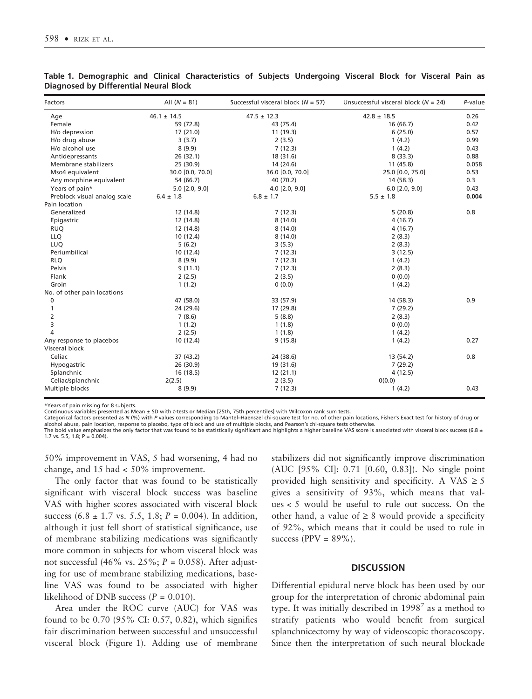| Factors                      | All $(N = 81)$   | Successful visceral block ( $N = 57$ ) | Unsuccessful visceral block ( $N = 24$ ) | P-value |
|------------------------------|------------------|----------------------------------------|------------------------------------------|---------|
| Age                          | $46.1 \pm 14.5$  | $47.5 \pm 12.3$                        | $42.8 \pm 18.5$                          | 0.26    |
| Female                       | 59 (72.8)        | 43 (75.4)                              | 16 (66.7)                                | 0.42    |
| H/o depression               | 17 (21.0)        | 11 (19.3)                              | 6(25.0)                                  | 0.57    |
| H/o drug abuse               | 3(3.7)           | 2(3.5)                                 | 1(4.2)                                   | 0.99    |
| H/o alcohol use              | 8(9.9)           | 7(12.3)                                | 1(4.2)                                   | 0.43    |
| Antidepressants              | 26 (32.1)        | 18 (31.6)                              | 8(33.3)                                  | 0.88    |
| Membrane stabilizers         | 25 (30.9)        | 14 (24.6)                              | 11 (45.8)                                | 0.058   |
| Mso4 equivalent              | 30.0 [0.0, 70.0] | 36.0 [0.0, 70.0]                       | 25.0 [0.0, 75.0]                         | 0.53    |
| Any morphine equivalent      | 54 (66.7)        | 40 (70.2)                              | 14 (58.3)                                | 0.3     |
| Years of pain*               | $5.0$ [2.0, 9.0] | $4.0$ [2.0, 9.0]                       | $6.0$ [2.0, 9.0]                         | 0.43    |
| Preblock visual analog scale | $6.4 \pm 1.8$    | $6.8 \pm 1.7$                          | $5.5 \pm 1.8$                            | 0.004   |
| Pain location                |                  |                                        |                                          |         |
| Generalized                  | 12 (14.8)        | 7(12.3)                                | 5(20.8)                                  | 0.8     |
| Epigastric                   | 12 (14.8)        | 8(14.0)                                | 4(16.7)                                  |         |
| <b>RUQ</b>                   | 12 (14.8)        | 8(14.0)                                | 4(16.7)                                  |         |
| LLQ                          | 10(12.4)         | 8(14.0)                                | 2(8.3)                                   |         |
| LUQ                          | 5(6.2)           | 3(5.3)                                 | 2(8.3)                                   |         |
| Periumbilical                | 10(12.4)         | 7(12.3)                                | 3(12.5)                                  |         |
| <b>RLQ</b>                   | 8(9.9)           | 7(12.3)                                | 1(4.2)                                   |         |
| Pelvis                       | 9(11.1)          | 7(12.3)                                | 2(8.3)                                   |         |
| Flank                        | 2(2.5)           | 2(3.5)                                 | 0(0.0)                                   |         |
| Groin                        | 1(1.2)           | 0(0.0)                                 | 1(4.2)                                   |         |
| No. of other pain locations  |                  |                                        |                                          |         |
| 0                            | 47 (58.0)        | 33 (57.9)                              | 14 (58.3)                                | 0.9     |
| 1                            | 24 (29.6)        | 17 (29.8)                              | 7(29.2)                                  |         |
| 2                            | 7(8.6)           | 5(8.8)                                 | 2(8.3)                                   |         |
| 3                            | 1(1.2)           | 1(1.8)                                 | 0(0.0)                                   |         |
| 4                            | 2(2.5)           | 1(1.8)                                 | 1(4.2)                                   |         |
| Any response to placebos     | 10 (12.4)        | 9(15.8)                                | 1(4.2)                                   | 0.27    |
| Visceral block               |                  |                                        |                                          |         |
| Celiac                       | 37 (43.2)        | 24 (38.6)                              | 13 (54.2)                                | 0.8     |
| Hypogastric                  | 26 (30.9)        | 19 (31.6)                              | 7(29.2)                                  |         |
| Splanchnic                   | 16 (18.5)        | 12(21.1)                               | 4(12.5)                                  |         |
| Celiac/splanchnic            | 2(2.5)           | 2(3.5)                                 | 0(0.0)                                   |         |
| Multiple blocks              | 8(9.9)           | 7(12.3)                                | 1(4.2)                                   | 0.43    |

Table 1. Demographic and Clinical Characteristics of Subjects Undergoing Visceral Block for Visceral Pain as Diagnosed by Differential Neural Block

\*Years of pain missing for 8 subjects.

Continuous variables presented as Mean ± SD with t-tests or Median [25th, 75th percentiles] with Wilcoxon rank sum tests.

Categorical factors presented as N (%) with P values corresponding to Mantel–Haenszel chi-square test for no. of other pain locations, Fisher's Exact test for history of drug or

alcohol abuse, pain location, response to placebo, type of block and use of multiple blocks, and Pearson's chi-square tests otherwise. The bold value emphasizes the only factor that was found to be statistically significant and highlights a higher baseline VAS score is associated with visceral block success (6.8 ±  $1.7$  vs. 5.5, 1.8;  $P = 0.004$ ).

50% improvement in VAS, 5 had worsening, 4 had no change, and 15 had < 50% improvement.

The only factor that was found to be statistically significant with visceral block success was baseline VAS with higher scores associated with visceral block success (6.8  $\pm$  1.7 vs. 5.5, 1.8; P = 0.004). In addition, although it just fell short of statistical significance, use of membrane stabilizing medications was significantly more common in subjects for whom visceral block was not successful (46% vs. 25%;  $P = 0.058$ ). After adjusting for use of membrane stabilizing medications, baseline VAS was found to be associated with higher likelihood of DNB success ( $P = 0.010$ ).

Area under the ROC curve (AUC) for VAS was found to be 0.70 (95% CI: 0.57, 0.82), which signifies fair discrimination between successful and unsuccessful visceral block (Figure 1). Adding use of membrane stabilizers did not significantly improve discrimination (AUC [95% CI]: 0.71 [0.60, 0.83]). No single point provided high sensitivity and specificity. A VAS  $\geq$  5 gives a sensitivity of 93%, which means that values < 5 would be useful to rule out success. On the other hand, a value of  $\geq 8$  would provide a specificity of 92%, which means that it could be used to rule in success (PPV =  $89\%$ ).

#### **DISCUSSION**

Differential epidural nerve block has been used by our group for the interpretation of chronic abdominal pain type. It was initially described in  $1998'$  as a method to stratify patients who would benefit from surgical splanchnicectomy by way of videoscopic thoracoscopy. Since then the interpretation of such neural blockade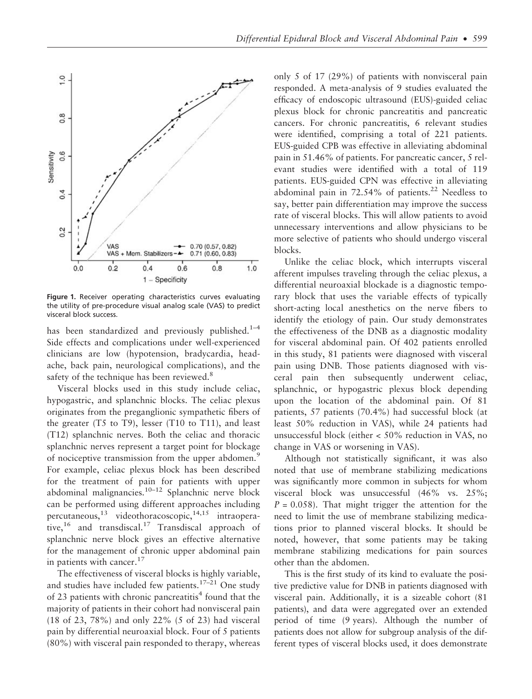

Figure 1. Receiver operating characteristics curves evaluating the utility of pre-procedure visual analog scale (VAS) to predict visceral block success.

has been standardized and previously published. $1-4$ Side effects and complications under well-experienced clinicians are low (hypotension, bradycardia, headache, back pain, neurological complications), and the safety of the technique has been reviewed.<sup>8</sup>

Visceral blocks used in this study include celiac, hypogastric, and splanchnic blocks. The celiac plexus originates from the preganglionic sympathetic fibers of the greater (T5 to T9), lesser (T10 to T11), and least (T12) splanchnic nerves. Both the celiac and thoracic splanchnic nerves represent a target point for blockage of nociceptive transmission from the upper abdomen.<sup>9</sup> For example, celiac plexus block has been described for the treatment of pain for patients with upper abdominal malignancies. $10^{-12}$  Splanchnic nerve block can be performed using different approaches including percutaneous,<sup>13</sup> videothoracoscopic,<sup>14,15</sup> intraoperative,<sup>16</sup> and transdiscal.<sup>17</sup> Transdiscal approach of splanchnic nerve block gives an effective alternative for the management of chronic upper abdominal pain in patients with cancer.<sup>17</sup>

The effectiveness of visceral blocks is highly variable, and studies have included few patients.<sup>17–21</sup> One study of 23 patients with chronic pancreatitis<sup>4</sup> found that the majority of patients in their cohort had nonvisceral pain (18 of 23, 78%) and only 22% (5 of 23) had visceral pain by differential neuroaxial block. Four of 5 patients (80%) with visceral pain responded to therapy, whereas

only 5 of 17 (29%) of patients with nonvisceral pain responded. A meta-analysis of 9 studies evaluated the efficacy of endoscopic ultrasound (EUS)-guided celiac plexus block for chronic pancreatitis and pancreatic cancers. For chronic pancreatitis, 6 relevant studies were identified, comprising a total of 221 patients. EUS-guided CPB was effective in alleviating abdominal pain in 51.46% of patients. For pancreatic cancer, 5 relevant studies were identified with a total of 119 patients. EUS-guided CPN was effective in alleviating abdominal pain in  $72.54\%$  of patients.<sup>22</sup> Needless to say, better pain differentiation may improve the success rate of visceral blocks. This will allow patients to avoid unnecessary interventions and allow physicians to be more selective of patients who should undergo visceral blocks.

Unlike the celiac block, which interrupts visceral afferent impulses traveling through the celiac plexus, a differential neuroaxial blockade is a diagnostic temporary block that uses the variable effects of typically short-acting local anesthetics on the nerve fibers to identify the etiology of pain. Our study demonstrates the effectiveness of the DNB as a diagnostic modality for visceral abdominal pain. Of 402 patients enrolled in this study, 81 patients were diagnosed with visceral pain using DNB. Those patients diagnosed with visceral pain then subsequently underwent celiac, splanchnic, or hypogastric plexus block depending upon the location of the abdominal pain. Of 81 patients, 57 patients (70.4%) had successful block (at least 50% reduction in VAS), while 24 patients had unsuccessful block (either < 50% reduction in VAS, no change in VAS or worsening in VAS).

Although not statistically significant, it was also noted that use of membrane stabilizing medications was significantly more common in subjects for whom visceral block was unsuccessful (46% vs. 25%;  $P = 0.058$ ). That might trigger the attention for the need to limit the use of membrane stabilizing medications prior to planned visceral blocks. It should be noted, however, that some patients may be taking membrane stabilizing medications for pain sources other than the abdomen.

This is the first study of its kind to evaluate the positive predictive value for DNB in patients diagnosed with visceral pain. Additionally, it is a sizeable cohort (81 patients), and data were aggregated over an extended period of time (9 years). Although the number of patients does not allow for subgroup analysis of the different types of visceral blocks used, it does demonstrate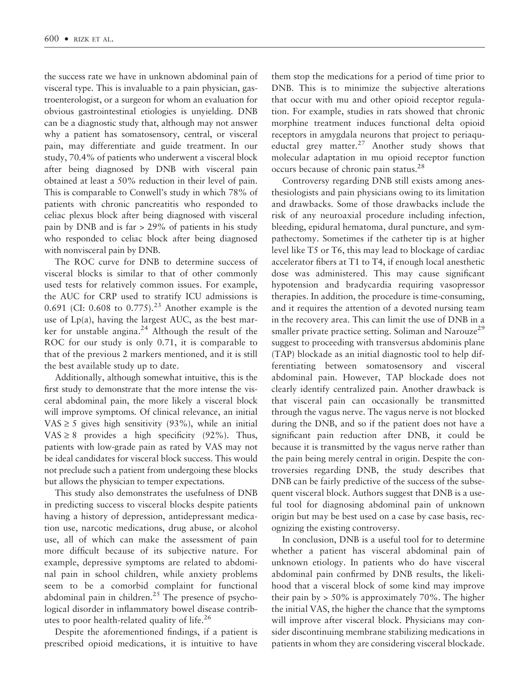the success rate we have in unknown abdominal pain of visceral type. This is invaluable to a pain physician, gastroenterologist, or a surgeon for whom an evaluation for obvious gastrointestinal etiologies is unyielding. DNB can be a diagnostic study that, although may not answer why a patient has somatosensory, central, or visceral pain, may differentiate and guide treatment. In our study, 70.4% of patients who underwent a visceral block after being diagnosed by DNB with visceral pain obtained at least a 50% reduction in their level of pain. This is comparable to Conwell's study in which 78% of patients with chronic pancreatitis who responded to celiac plexus block after being diagnosed with visceral pain by DNB and is far > 29% of patients in his study who responded to celiac block after being diagnosed with nonvisceral pain by DNB.

The ROC curve for DNB to determine success of visceral blocks is similar to that of other commonly used tests for relatively common issues. For example, the AUC for CRP used to stratify ICU admissions is 0.691 (CI: 0.608 to 0.775).<sup>23</sup> Another example is the use of Lp(a), having the largest AUC, as the best marker for unstable angina.<sup>24</sup> Although the result of the ROC for our study is only 0.71, it is comparable to that of the previous 2 markers mentioned, and it is still the best available study up to date.

Additionally, although somewhat intuitive, this is the first study to demonstrate that the more intense the visceral abdominal pain, the more likely a visceral block will improve symptoms. Of clinical relevance, an initial VAS  $\geq$  5 gives high sensitivity (93%), while an initial  $VAS \ge 8$  provides a high specificity (92%). Thus, patients with low-grade pain as rated by VAS may not be ideal candidates for visceral block success. This would not preclude such a patient from undergoing these blocks but allows the physician to temper expectations.

This study also demonstrates the usefulness of DNB in predicting success to visceral blocks despite patients having a history of depression, antidepressant medication use, narcotic medications, drug abuse, or alcohol use, all of which can make the assessment of pain more difficult because of its subjective nature. For example, depressive symptoms are related to abdominal pain in school children, while anxiety problems seem to be a comorbid complaint for functional abdominal pain in children. $25$  The presence of psychological disorder in inflammatory bowel disease contributes to poor health-related quality of life.<sup>26</sup>

Despite the aforementioned findings, if a patient is prescribed opioid medications, it is intuitive to have

them stop the medications for a period of time prior to DNB. This is to minimize the subjective alterations that occur with mu and other opioid receptor regulation. For example, studies in rats showed that chronic morphine treatment induces functional delta opioid receptors in amygdala neurons that project to periaqueductal grey matter.<sup>27</sup> Another study shows that molecular adaptation in mu opioid receptor function occurs because of chronic pain status.28

Controversy regarding DNB still exists among anesthesiologists and pain physicians owing to its limitation and drawbacks. Some of those drawbacks include the risk of any neuroaxial procedure including infection, bleeding, epidural hematoma, dural puncture, and sympathectomy. Sometimes if the catheter tip is at higher level like T5 or T6, this may lead to blockage of cardiac accelerator fibers at T1 to T4, if enough local anesthetic dose was administered. This may cause significant hypotension and bradycardia requiring vasopressor therapies. In addition, the procedure is time-consuming, and it requires the attention of a devoted nursing team in the recovery area. This can limit the use of DNB in a smaller private practice setting. Soliman and Narouze<sup>29</sup> suggest to proceeding with transversus abdominis plane (TAP) blockade as an initial diagnostic tool to help differentiating between somatosensory and visceral abdominal pain. However, TAP blockade does not clearly identify centralized pain. Another drawback is that visceral pain can occasionally be transmitted through the vagus nerve. The vagus nerve is not blocked during the DNB, and so if the patient does not have a significant pain reduction after DNB, it could be because it is transmitted by the vagus nerve rather than the pain being merely central in origin. Despite the controversies regarding DNB, the study describes that DNB can be fairly predictive of the success of the subsequent visceral block. Authors suggest that DNB is a useful tool for diagnosing abdominal pain of unknown origin but may be best used on a case by case basis, recognizing the existing controversy.

In conclusion, DNB is a useful tool for to determine whether a patient has visceral abdominal pain of unknown etiology. In patients who do have visceral abdominal pain confirmed by DNB results, the likelihood that a visceral block of some kind may improve their pain by  $> 50\%$  is approximately 70%. The higher the initial VAS, the higher the chance that the symptoms will improve after visceral block. Physicians may consider discontinuing membrane stabilizing medications in patients in whom they are considering visceral blockade.